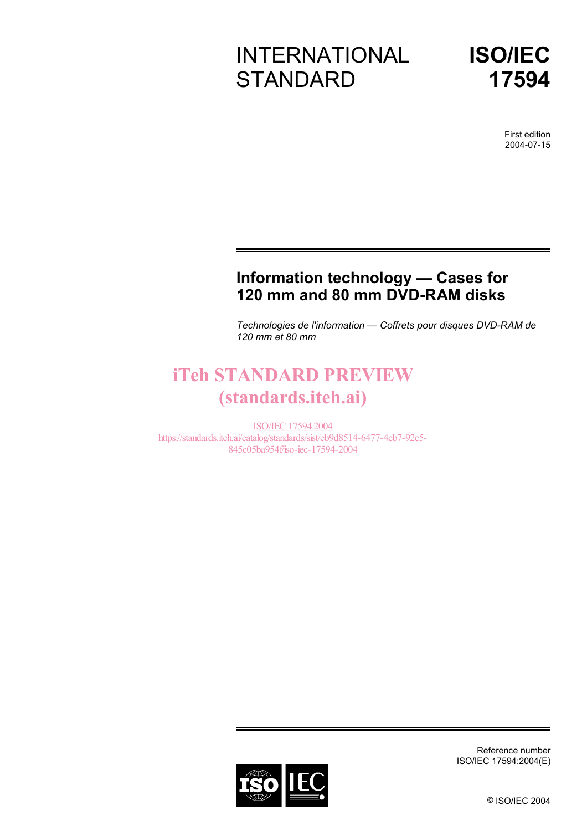# INTERNATIONAL **STANDARD**



First edition 2004-07-15

# **Information technology — Cases for 120 mm and 80 mm DVD-RAM disks**

*Technologies de l'information — Coffrets pour disques DVD-RAM de 120 mm et 80 mm* 

# iTeh STANDARD PREVIEW (standards.iteh.ai)

ISO/IEC 17594:2004 https://standards.iteh.ai/catalog/standards/sist/eb9d8514-6477-4cb7-92c5- 845c05ba954f/iso-iec-17594-2004



Reference number ISO/IEC 17594:2004(E)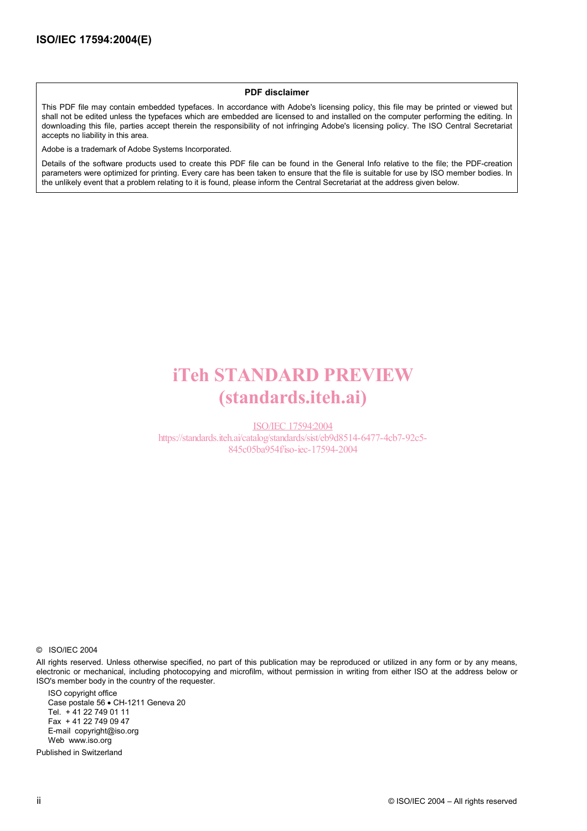#### **PDF disclaimer**

This PDF file may contain embedded typefaces. In accordance with Adobe's licensing policy, this file may be printed or viewed but shall not be edited unless the typefaces which are embedded are licensed to and installed on the computer performing the editing. In downloading this file, parties accept therein the responsibility of not infringing Adobe's licensing policy. The ISO Central Secretariat accepts no liability in this area.

Adobe is a trademark of Adobe Systems Incorporated.

Details of the software products used to create this PDF file can be found in the General Info relative to the file; the PDF-creation parameters were optimized for printing. Every care has been taken to ensure that the file is suitable for use by ISO member bodies. In the unlikely event that a problem relating to it is found, please inform the Central Secretariat at the address given below.

# iTeh STANDARD PREVIEW (standards.iteh.ai)

ISO/IEC 17594:2004 https://standards.iteh.ai/catalog/standards/sist/eb9d8514-6477-4cb7-92c5- 845c05ba954f/iso-iec-17594-2004

© ISO/IEC 2004

All rights reserved. Unless otherwise specified, no part of this publication may be reproduced or utilized in any form or by any means, electronic or mechanical, including photocopying and microfilm, without permission in writing from either ISO at the address below or ISO's member body in the country of the requester.

ISO copyright office Case postale 56 • CH-1211 Geneva 20 Tel. + 41 22 749 01 11 Fax + 41 22 749 09 47 E-mail copyright@iso.org Web www.iso.org

Published in Switzerland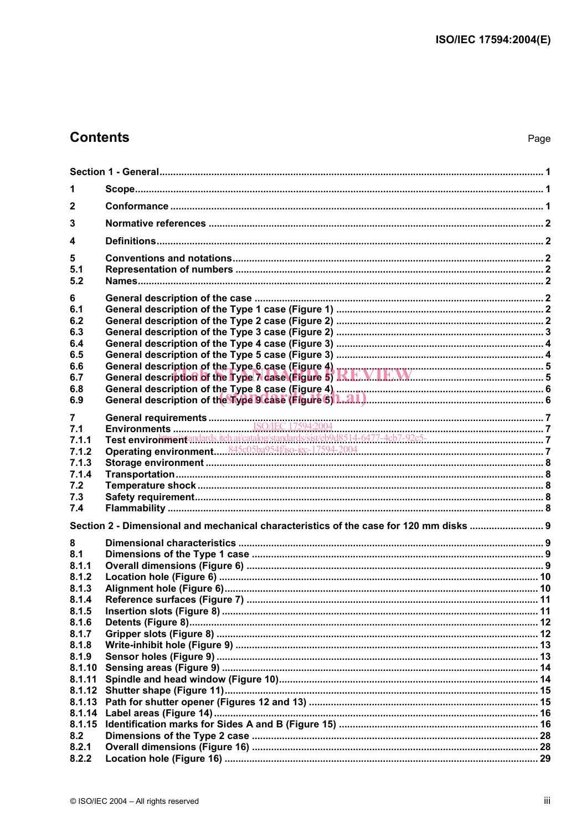## **Contents**

| 1                |                                                                                                                                                                                                                                |  |  |  |
|------------------|--------------------------------------------------------------------------------------------------------------------------------------------------------------------------------------------------------------------------------|--|--|--|
| 2                |                                                                                                                                                                                                                                |  |  |  |
| 3                |                                                                                                                                                                                                                                |  |  |  |
|                  |                                                                                                                                                                                                                                |  |  |  |
| 4                |                                                                                                                                                                                                                                |  |  |  |
| 5                |                                                                                                                                                                                                                                |  |  |  |
| 5.1<br>5.2       |                                                                                                                                                                                                                                |  |  |  |
| 6                |                                                                                                                                                                                                                                |  |  |  |
| 6.1              |                                                                                                                                                                                                                                |  |  |  |
| 6.2              |                                                                                                                                                                                                                                |  |  |  |
| 6.3              |                                                                                                                                                                                                                                |  |  |  |
| 6.4              |                                                                                                                                                                                                                                |  |  |  |
| 6.5              |                                                                                                                                                                                                                                |  |  |  |
| 6.6<br>6.7       |                                                                                                                                                                                                                                |  |  |  |
| 6.8              |                                                                                                                                                                                                                                |  |  |  |
| 6.9              |                                                                                                                                                                                                                                |  |  |  |
|                  |                                                                                                                                                                                                                                |  |  |  |
| 7                |                                                                                                                                                                                                                                |  |  |  |
| 7.1<br>7.1.1     | Test environment and architecture is a state of the state of the state of the state of the state of the state of the state of the state of the state of the state of the state of the state of the state of the state of the s |  |  |  |
| 7.1.2            |                                                                                                                                                                                                                                |  |  |  |
| 7.1.3            |                                                                                                                                                                                                                                |  |  |  |
| 7.1.4            |                                                                                                                                                                                                                                |  |  |  |
| 7.2              |                                                                                                                                                                                                                                |  |  |  |
| 7.3              |                                                                                                                                                                                                                                |  |  |  |
| 7.4              |                                                                                                                                                                                                                                |  |  |  |
|                  | Section 2 - Dimensional and mechanical characteristics of the case for 120 mm disks                                                                                                                                            |  |  |  |
| 8                |                                                                                                                                                                                                                                |  |  |  |
| 8.1              |                                                                                                                                                                                                                                |  |  |  |
| 8.1.1            |                                                                                                                                                                                                                                |  |  |  |
| 8.1.2            |                                                                                                                                                                                                                                |  |  |  |
| 8.1.3            |                                                                                                                                                                                                                                |  |  |  |
| 8.1.4<br>8.1.5   |                                                                                                                                                                                                                                |  |  |  |
| 8.1.6            |                                                                                                                                                                                                                                |  |  |  |
| 8.1.7            |                                                                                                                                                                                                                                |  |  |  |
| 8.1.8            |                                                                                                                                                                                                                                |  |  |  |
| 8.1.9            |                                                                                                                                                                                                                                |  |  |  |
| 8.1.10           |                                                                                                                                                                                                                                |  |  |  |
| 8.1.11           |                                                                                                                                                                                                                                |  |  |  |
| 8.1.12           |                                                                                                                                                                                                                                |  |  |  |
| 8.1.13           |                                                                                                                                                                                                                                |  |  |  |
| 8.1.14<br>8.1.15 |                                                                                                                                                                                                                                |  |  |  |
| 8.2              |                                                                                                                                                                                                                                |  |  |  |
| 8.2.1            |                                                                                                                                                                                                                                |  |  |  |
| 8.2.2            |                                                                                                                                                                                                                                |  |  |  |
|                  |                                                                                                                                                                                                                                |  |  |  |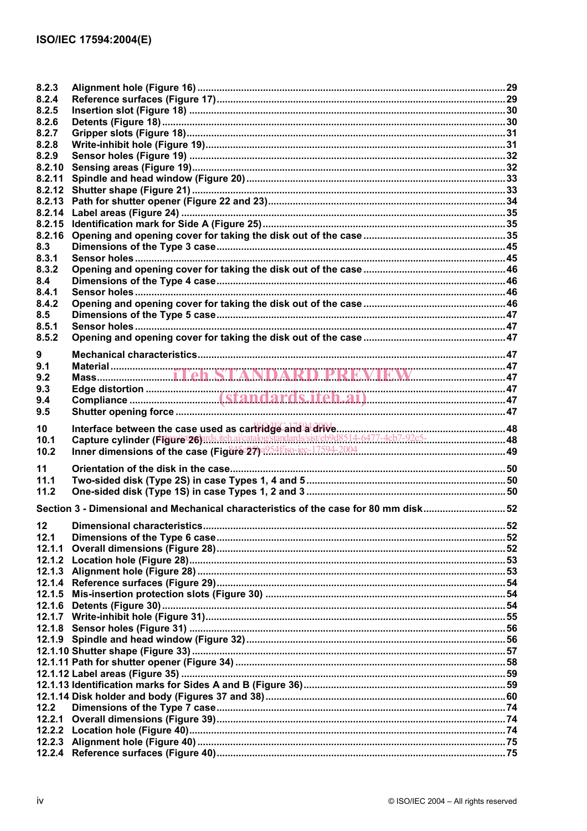| 8.2.3          |                                                                                     |  |
|----------------|-------------------------------------------------------------------------------------|--|
| 8.2.4          |                                                                                     |  |
| 8.2.5          |                                                                                     |  |
| 8.2.6          |                                                                                     |  |
| 8.2.7          |                                                                                     |  |
| 8.2.8<br>8.2.9 |                                                                                     |  |
| 8.2.10         |                                                                                     |  |
| 8.2.11         |                                                                                     |  |
| 8.2.12         |                                                                                     |  |
| 8.2.13         |                                                                                     |  |
| 8.2.14         |                                                                                     |  |
| 8.2.15         |                                                                                     |  |
| 8.2.16         |                                                                                     |  |
| 8.3            |                                                                                     |  |
| 8.3.1          |                                                                                     |  |
| 8.3.2          |                                                                                     |  |
| 8.4            |                                                                                     |  |
| 8.4.1          |                                                                                     |  |
| 8.4.2          |                                                                                     |  |
| 8.5            |                                                                                     |  |
| 8.5.1          |                                                                                     |  |
| 8.5.2          |                                                                                     |  |
|                |                                                                                     |  |
| 9              |                                                                                     |  |
| 9.1            |                                                                                     |  |
| 9.2            |                                                                                     |  |
| 9.3            |                                                                                     |  |
| 9.4            |                                                                                     |  |
| 9.5            |                                                                                     |  |
|                |                                                                                     |  |
| 10             |                                                                                     |  |
| 10.1           |                                                                                     |  |
| 10.2           |                                                                                     |  |
|                |                                                                                     |  |
| 11             |                                                                                     |  |
| 11.1           |                                                                                     |  |
| 11.2           |                                                                                     |  |
|                | Section 3 - Dimensional and Mechanical characteristics of the case for 80 mm disk52 |  |
| 12             |                                                                                     |  |
| 12.1           |                                                                                     |  |
| 12.1.1         |                                                                                     |  |
|                |                                                                                     |  |
|                |                                                                                     |  |
| 12.1.4         |                                                                                     |  |
| 12.1.5         |                                                                                     |  |
| 12.1.6         |                                                                                     |  |
| 12.1.7         |                                                                                     |  |
| 12.1.8         |                                                                                     |  |
|                |                                                                                     |  |
|                |                                                                                     |  |
|                |                                                                                     |  |
|                |                                                                                     |  |
|                |                                                                                     |  |
|                |                                                                                     |  |
| 12.2           |                                                                                     |  |
| 12.2.1         |                                                                                     |  |
|                |                                                                                     |  |
|                |                                                                                     |  |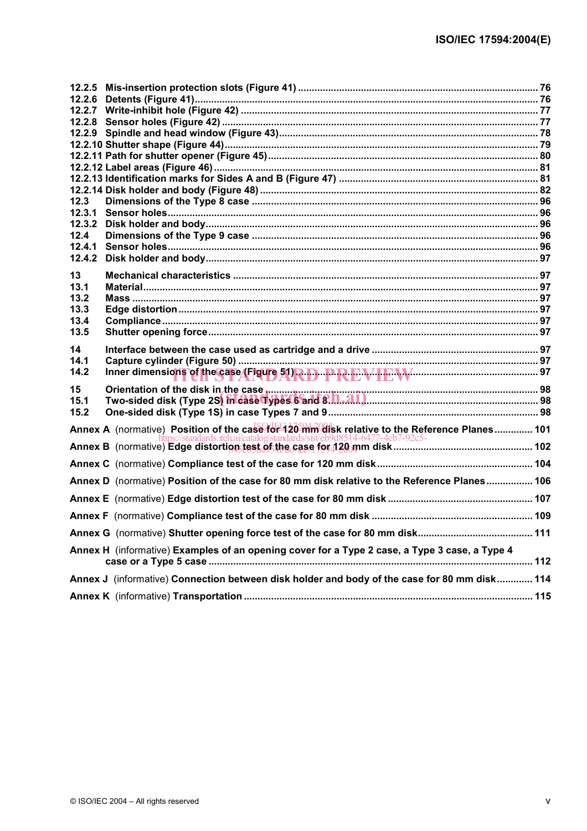| 12.3   |                                                                                                                                                                                |  |
|--------|--------------------------------------------------------------------------------------------------------------------------------------------------------------------------------|--|
| 12.3.1 |                                                                                                                                                                                |  |
| 12.3.2 |                                                                                                                                                                                |  |
| 12.4   |                                                                                                                                                                                |  |
| 12.4.1 |                                                                                                                                                                                |  |
|        |                                                                                                                                                                                |  |
| 13     |                                                                                                                                                                                |  |
| 13.1   |                                                                                                                                                                                |  |
| 13.2   |                                                                                                                                                                                |  |
| 13.3   |                                                                                                                                                                                |  |
| 13.4   |                                                                                                                                                                                |  |
| 13.5   |                                                                                                                                                                                |  |
| 14     |                                                                                                                                                                                |  |
| 14.1   |                                                                                                                                                                                |  |
| 14.2   |                                                                                                                                                                                |  |
|        |                                                                                                                                                                                |  |
| 15     | Orientation of the disk in the case <b>we can also assumed as a construction</b> of the disk of the case we can all the<br>Two-sided disk (Type 2S) in case Types 6 and 8.141. |  |
| 15.1   |                                                                                                                                                                                |  |
| 15.2   |                                                                                                                                                                                |  |
|        | Annex A (normative) Position of the case for 120 mm disk relative to the Reference Planes 101                                                                                  |  |
|        | https://standards.iteh.ai/catalog/standards/sist/eb9d8514-6477-4cb7-92c5-                                                                                                      |  |
|        |                                                                                                                                                                                |  |
|        |                                                                                                                                                                                |  |
|        | Annex D (normative) Position of the case for 80 mm disk relative to the Reference Planes 106                                                                                   |  |
|        |                                                                                                                                                                                |  |
|        |                                                                                                                                                                                |  |
|        |                                                                                                                                                                                |  |
|        | Annex H (informative) Examples of an opening cover for a Type 2 case, a Type 3 case, a Type 4                                                                                  |  |
|        |                                                                                                                                                                                |  |
|        | Annex J (informative) Connection between disk holder and body of the case for 80 mm disk 114                                                                                   |  |
|        |                                                                                                                                                                                |  |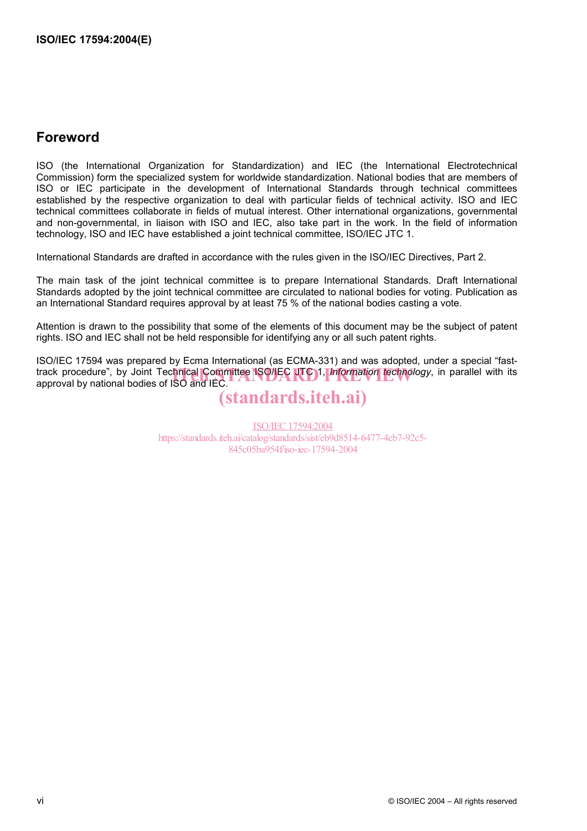## **Foreword**

ISO (the International Organization for Standardization) and IEC (the International Electrotechnical Commission) form the specialized system for worldwide standardization. National bodies that are members of ISO or IEC participate in the development of International Standards through technical committees established by the respective organization to deal with particular fields of technical activity. ISO and IEC technical committees collaborate in fields of mutual interest. Other international organizations, governmental and non-governmental, in liaison with ISO and IEC, also take part in the work. In the field of information technology, ISO and IEC have established a joint technical committee, ISO/IEC JTC 1.

International Standards are drafted in accordance with the rules given in the ISO/IEC Directives, Part 2.

The main task of the joint technical committee is to prepare International Standards. Draft International Standards adopted by the joint technical committee are circulated to national bodies for voting. Publication as an International Standard requires approval by at least 75 % of the national bodies casting a vote.

Attention is drawn to the possibility that some of the elements of this document may be the subject of patent rights. ISO and IEC shall not be held responsible for identifying any or all such patent rights.

ISO/IEC 17594 was prepared by Ecma International (as ECMA-331) and was adopted, under a special "fasttrack procedure", by Joint Tec<mark>hnical Committee ISO/IEC UTC 1, *Information technology*, in parallel with its <br>approval by national bodies of ISO and IEC.</mark> approval by national bodies of ISO and IEC.

# (standards.iteh.ai)

ISO/IEC 17594:2004 https://standards.iteh.ai/catalog/standards/sist/eb9d8514-6477-4cb7-92c5- 845c05ba954f/iso-iec-17594-2004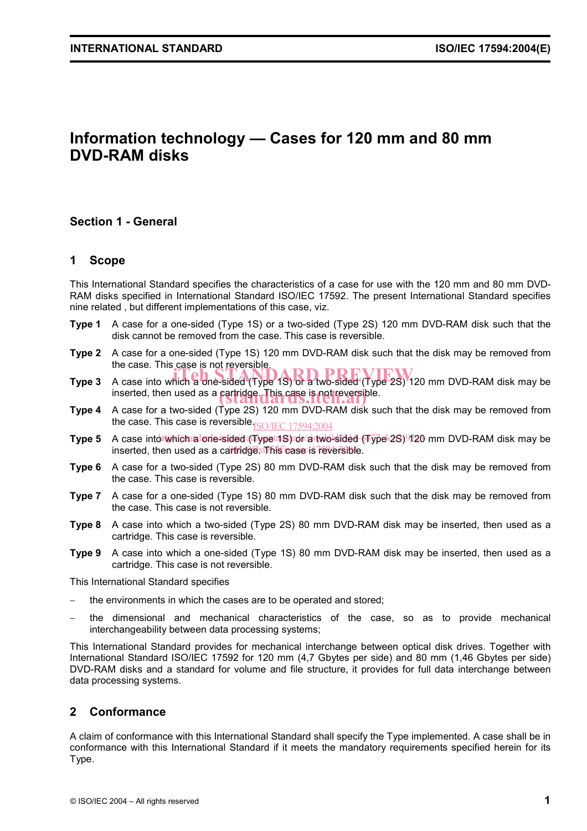## **Information technology — Cases for 120 mm and 80 mm DVD-RAM disks**

## **Section 1 - General**

#### **1 Scope**

This International Standard specifies the characteristics of a case for use with the 120 mm and 80 mm DVD-RAM disks specified in International Standard ISO/IEC 17592. The present International Standard specifies nine related , but different implementations of this case, viz.

- **Type 1** A case for a one-sided (Type 1S) or a two-sided (Type 2S) 120 mm DVD-RAM disk such that the disk cannot be removed from the case. This case is reversible.
- **Type 2** A case for a one-sided (Type 1S) 120 mm DVD-RAM disk such that the disk may be removed from the case. This case is not reversible.
- Type 3 A case into which a one-sided (Type 1S) or a two-sided (Type 2S) 120 mm DVD-RAM disk may be inserted, then used as a cartridge. This case is not reversible.
- **Type 4** A case for a two-sided (Type 2S) 120 mm DVD-RAM disk such that the disk may be removed from the case. This case is reversible $_{\rm ISO/IEC}$   $_{17594:2004}$
- Type 5 A case into twhich a one-sided (Typet 1S) ror/astwo-sided (Type 2S) 920 mm DVD-RAM disk may be inserted, then used as a cartridge. This case is reversible.
- **Type 6** A case for a two-sided (Type 2S) 80 mm DVD-RAM disk such that the disk may be removed from the case. This case is reversible.
- **Type 7** A case for a one-sided (Type 1S) 80 mm DVD-RAM disk such that the disk may be removed from the case. This case is not reversible.
- **Type 8** A case into which a two-sided (Type 2S) 80 mm DVD-RAM disk may be inserted, then used as a cartridge. This case is reversible.
- **Type 9** A case into which a one-sided (Type 1S) 80 mm DVD-RAM disk may be inserted, then used as a cartridge. This case is not reversible.

This International Standard specifies

- the environments in which the cases are to be operated and stored;
- − the dimensional and mechanical characteristics of the case, so as to provide mechanical interchangeability between data processing systems;

This International Standard provides for mechanical interchange between optical disk drives. Together with International Standard ISO/IEC 17592 for 120 mm (4,7 Gbytes per side) and 80 mm (1,46 Gbytes per side) DVD-RAM disks and a standard for volume and file structure, it provides for full data interchange between data processing systems.

## **2 Conformance**

A claim of conformance with this International Standard shall specify the Type implemented. A case shall be in conformance with this International Standard if it meets the mandatory requirements specified herein for its Type.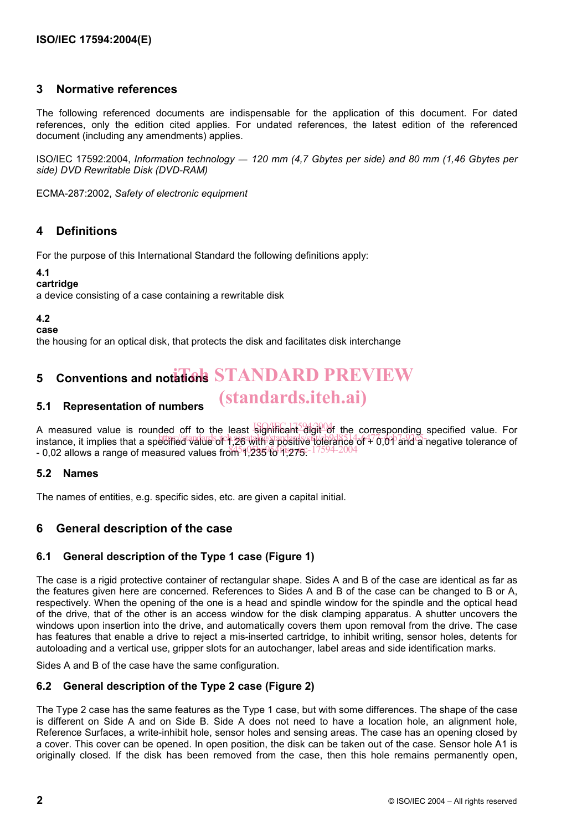## **3 Normative references**

The following referenced documents are indispensable for the application of this document. For dated references, only the edition cited applies. For undated references, the latest edition of the referenced document (including any amendments) applies.

ISO/IEC 17592:2004, *Information technology — 120 mm (4,7 Gbytes per side) and 80 mm (1,46 Gbytes per side) DVD Rewritable Disk (DVD-RAM)*

ECMA-287:2002, *Safety of electronic equipment*

## **4 Definitions**

For the purpose of this International Standard the following definitions apply:

#### **4.1**

#### **cartridge**

a device consisting of a case containing a rewritable disk

#### **4.2**

**case** 

the housing for an optical disk, that protects the disk and facilitates disk interchange

# **5** Conventions and notations STANDARD PREVIEW

#### **5.1 Representation of numbers**  (standards.iteh.ai)

A measured value is rounded off to the least significant digit of the corresponding specified value. For instance, it implies that a specified value of 1,26 with a positive tolerance of 4<sup>7</sup>0,01 and a negative tolerance of  $- 0.02$  allows a range of measured values from  $\frac{1}{255}$  to  $\frac{4}{275}$ . 17594-2004

#### **5.2 Names**

The names of entities, e.g. specific sides, etc. are given a capital initial.

## **6 General description of the case**

#### **6.1 General description of the Type 1 case (Figure 1)**

The case is a rigid protective container of rectangular shape. Sides A and B of the case are identical as far as the features given here are concerned. References to Sides A and B of the case can be changed to B or A, respectively. When the opening of the one is a head and spindle window for the spindle and the optical head of the drive, that of the other is an access window for the disk clamping apparatus. A shutter uncovers the windows upon insertion into the drive, and automatically covers them upon removal from the drive. The case has features that enable a drive to reject a mis-inserted cartridge, to inhibit writing, sensor holes, detents for autoloading and a vertical use, gripper slots for an autochanger, label areas and side identification marks.

Sides A and B of the case have the same configuration.

#### **6.2 General description of the Type 2 case (Figure 2)**

The Type 2 case has the same features as the Type 1 case, but with some differences. The shape of the case is different on Side A and on Side B. Side A does not need to have a location hole, an alignment hole, Reference Surfaces, a write-inhibit hole, sensor holes and sensing areas. The case has an opening closed by a cover. This cover can be opened. In open position, the disk can be taken out of the case. Sensor hole A1 is originally closed. If the disk has been removed from the case, then this hole remains permanently open,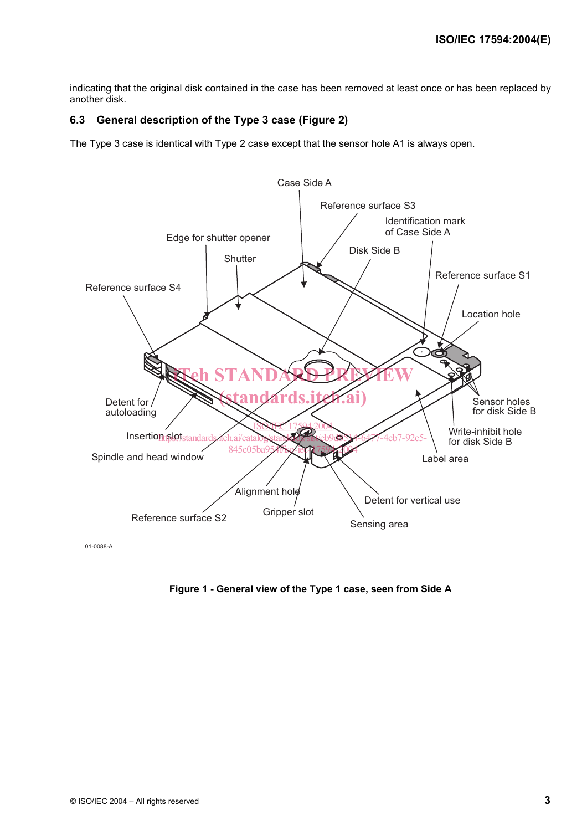indicating that the original disk contained in the case has been removed at least once or has been replaced by another disk.

### **6.3 General description of the Type 3 case (Figure 2)**

The Type 3 case is identical with Type 2 case except that the sensor hole A1 is always open.



01-0088-A

**Figure 1 - General view of the Type 1 case, seen from Side A**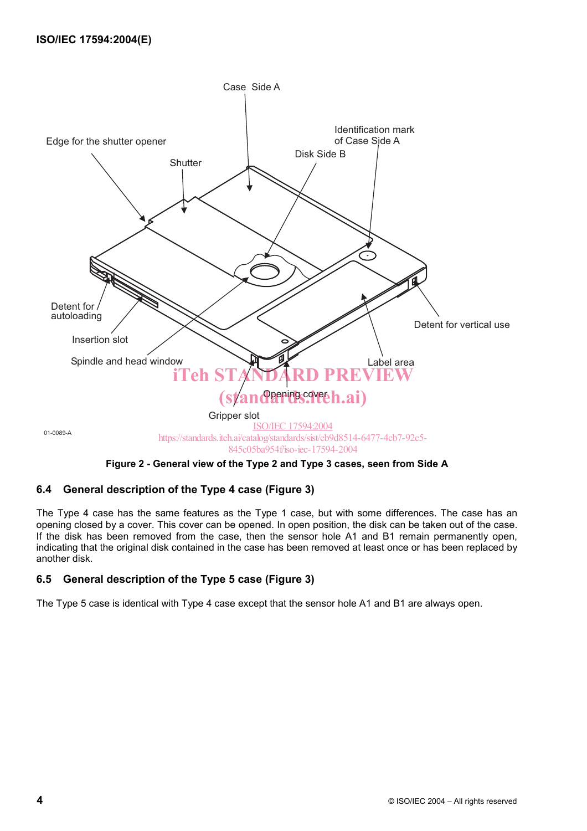

## **6.4 General description of the Type 4 case (Figure 3)**

The Type 4 case has the same features as the Type 1 case, but with some differences. The case has an opening closed by a cover. This cover can be opened. In open position, the disk can be taken out of the case. If the disk has been removed from the case, then the sensor hole A1 and B1 remain permanently open, indicating that the original disk contained in the case has been removed at least once or has been replaced by another disk.

## **6.5 General description of the Type 5 case (Figure 3)**

The Type 5 case is identical with Type 4 case except that the sensor hole A1 and B1 are always open.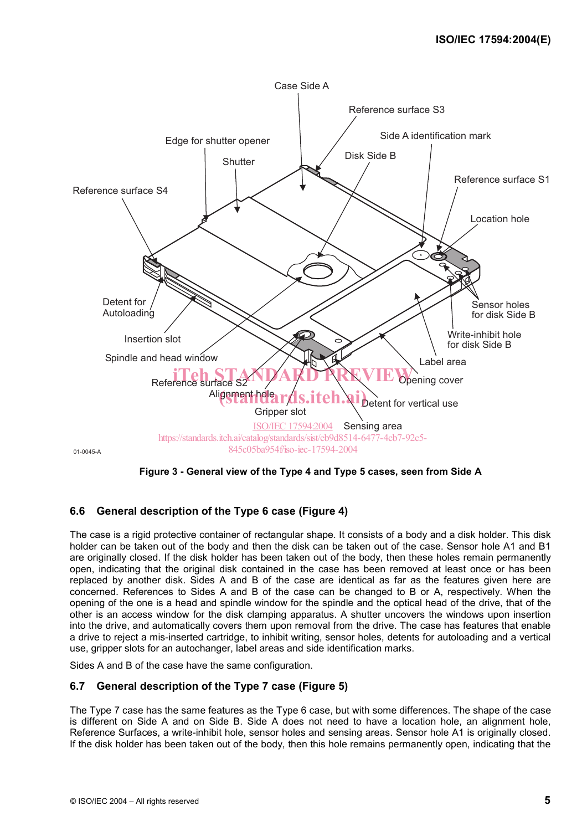

**Figure 3 - General view of the Type 4 and Type 5 cases, seen from Side A** 

## **6.6 General description of the Type 6 case (Figure 4)**

The case is a rigid protective container of rectangular shape. It consists of a body and a disk holder. This disk holder can be taken out of the body and then the disk can be taken out of the case. Sensor hole A1 and B1 are originally closed. If the disk holder has been taken out of the body, then these holes remain permanently open, indicating that the original disk contained in the case has been removed at least once or has been replaced by another disk. Sides A and B of the case are identical as far as the features given here are concerned. References to Sides A and B of the case can be changed to B or A, respectively. When the opening of the one is a head and spindle window for the spindle and the optical head of the drive, that of the other is an access window for the disk clamping apparatus. A shutter uncovers the windows upon insertion into the drive, and automatically covers them upon removal from the drive. The case has features that enable a drive to reject a mis-inserted cartridge, to inhibit writing, sensor holes, detents for autoloading and a vertical use, gripper slots for an autochanger, label areas and side identification marks.

Sides A and B of the case have the same configuration.

## **6.7 General description of the Type 7 case (Figure 5)**

The Type 7 case has the same features as the Type 6 case, but with some differences. The shape of the case is different on Side A and on Side B. Side A does not need to have a location hole, an alignment hole, Reference Surfaces, a write-inhibit hole, sensor holes and sensing areas. Sensor hole A1 is originally closed. If the disk holder has been taken out of the body, then this hole remains permanently open, indicating that the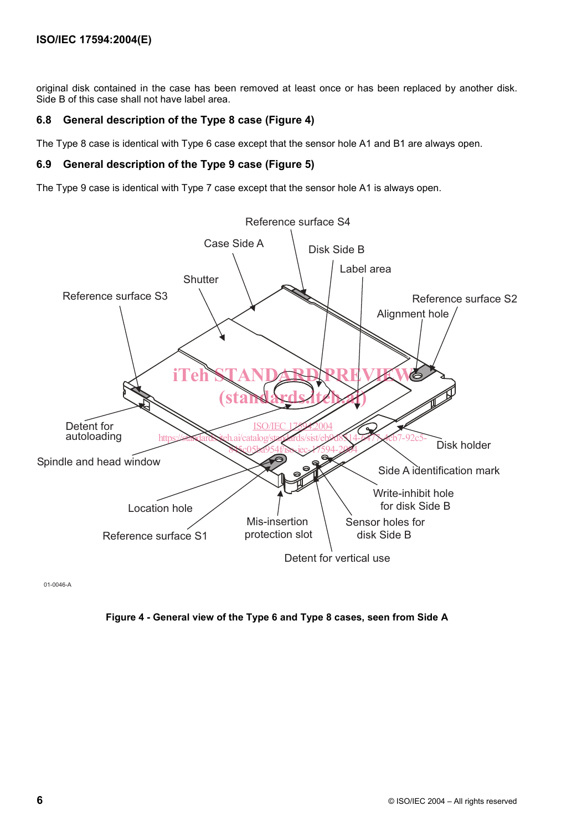original disk contained in the case has been removed at least once or has been replaced by another disk. Side B of this case shall not have label area.

## **6.8 General description of the Type 8 case (Figure 4)**

The Type 8 case is identical with Type 6 case except that the sensor hole A1 and B1 are always open.

### **6.9 General description of the Type 9 case (Figure 5)**

The Type 9 case is identical with Type 7 case except that the sensor hole A1 is always open.



01-0046-A

## **Figure 4 - General view of the Type 6 and Type 8 cases, seen from Side A**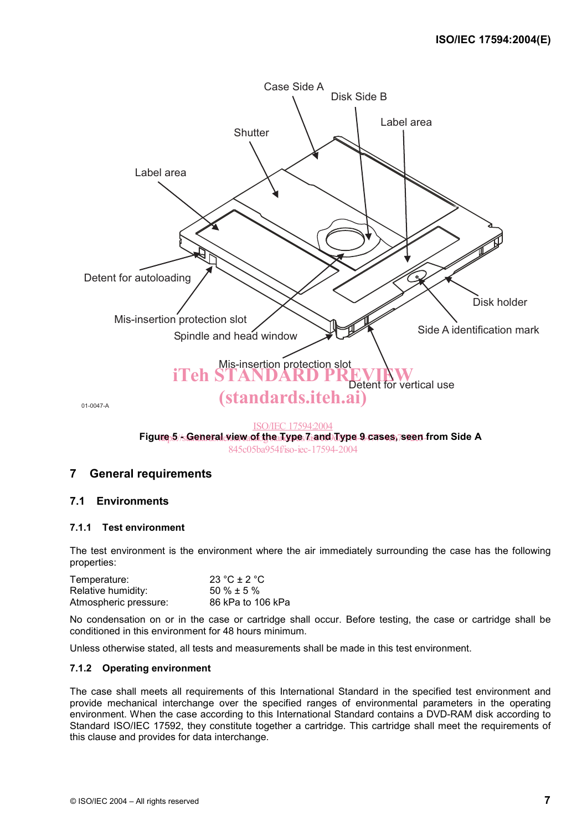

845c05ba954f/iso-iec-17594-2004

## **7 General requirements**

#### **7.1 Environments**

#### **7.1.1 Test environment**

The test environment is the environment where the air immediately surrounding the case has the following properties:

| Temperature:          | 23 °C $\pm$ 2 °C  |
|-----------------------|-------------------|
| Relative humidity:    | $50\% \pm 5\%$    |
| Atmospheric pressure: | 86 kPa to 106 kPa |

No condensation on or in the case or cartridge shall occur. Before testing, the case or cartridge shall be conditioned in this environment for 48 hours minimum.

Unless otherwise stated, all tests and measurements shall be made in this test environment.

#### **7.1.2 Operating environment**

The case shall meets all requirements of this International Standard in the specified test environment and provide mechanical interchange over the specified ranges of environmental parameters in the operating environment. When the case according to this International Standard contains a DVD-RAM disk according to Standard ISO/IEC 17592, they constitute together a cartridge. This cartridge shall meet the requirements of this clause and provides for data interchange.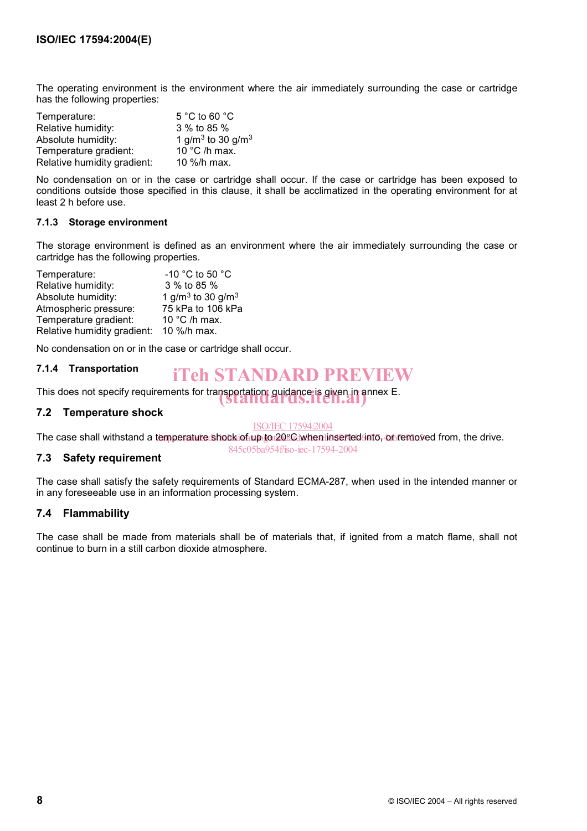The operating environment is the environment where the air immediately surrounding the case or cartridge has the following properties:

| Temperature:                | 5 °C to 60 $^{\circ}$ C                   |
|-----------------------------|-------------------------------------------|
| Relative humidity:          | 3 % to 85 %                               |
| Absolute humidity:          | 1 g/m <sup>3</sup> to 30 g/m <sup>3</sup> |
| Temperature gradient:       | 10 °C /h max.                             |
| Relative humidity gradient: | 10 %/h max.                               |

No condensation on or in the case or cartridge shall occur. If the case or cartridge has been exposed to conditions outside those specified in this clause, it shall be acclimatized in the operating environment for at least 2 h before use.

#### **7.1.3 Storage environment**

The storage environment is defined as an environment where the air immediately surrounding the case or cartridge has the following properties.

| Temperature:                | -10 °C to 50 °C                           |
|-----------------------------|-------------------------------------------|
| Relative humidity:          | 3 % to 85 %                               |
| Absolute humidity:          | 1 g/m <sup>3</sup> to 30 g/m <sup>3</sup> |
| Atmospheric pressure:       | 75 kPa to 106 kPa                         |
| Temperature gradient:       | 10 °C /h max.                             |
| Relative humidity gradient: | 10 %/h max.                               |

No condensation on or in the case or cartridge shall occur.

#### **7.1.4 Transportation**

## iTeh STANDARD PREVIEW

This does not specify requirements for transportation; guidance is given in annex E.<br>
Standards.<br>
1.

#### **7.2 Temperature shock**

#### ISO/IEC 17594:2004

845c05ba954f/iso-iec-17594-2004

The case shall withstand a temperature shock of up to 20°C when inserted into, or removed from, the drive.

## **7.3 Safety requirement**

The case shall satisfy the safety requirements of Standard ECMA-287, when used in the intended manner or in any foreseeable use in an information processing system.

## **7.4 Flammability**

The case shall be made from materials shall be of materials that, if ignited from a match flame, shall not continue to burn in a still carbon dioxide atmosphere.